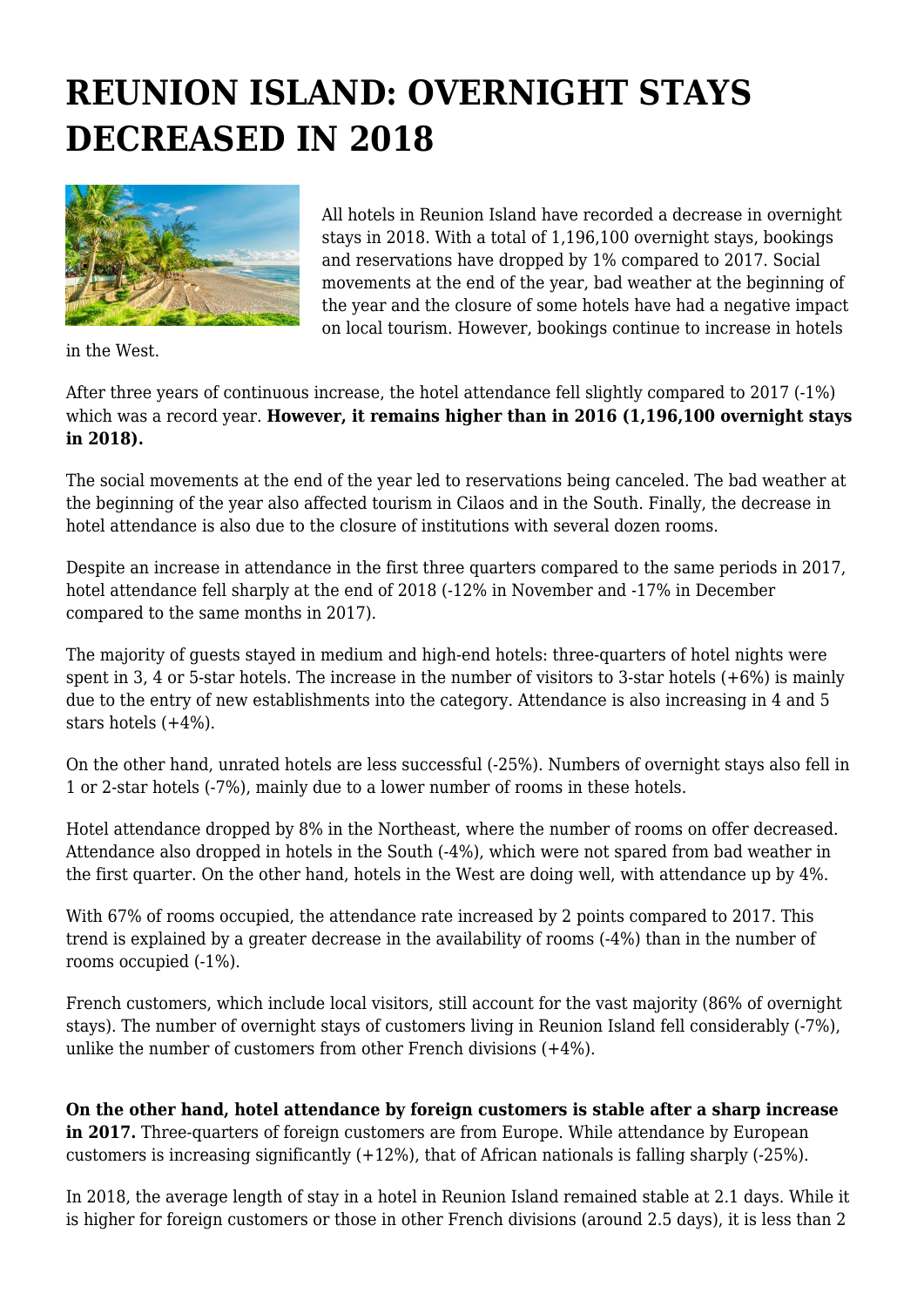## **REUNION ISLAND: OVERNIGHT STAYS DECREASED IN 2018**



All hotels in Reunion Island have recorded a decrease in overnight stays in 2018. With a total of 1,196,100 overnight stays, bookings and reservations have dropped by 1% compared to 2017. Social movements at the end of the year, bad weather at the beginning of the year and the closure of some hotels have had a negative impact on local tourism. However, bookings continue to increase in hotels

in the West.

After three years of continuous increase, the hotel attendance fell slightly compared to 2017 (-1%) which was a record year. **However, it remains higher than in 2016 (1,196,100 overnight stays in 2018).**

The social movements at the end of the year led to reservations being canceled. The bad weather at the beginning of the year also affected tourism in Cilaos and in the South. Finally, the decrease in hotel attendance is also due to the closure of institutions with several dozen rooms.

Despite an increase in attendance in the first three quarters compared to the same periods in 2017, hotel attendance fell sharply at the end of 2018 (-12% in November and -17% in December compared to the same months in 2017).

The majority of guests stayed in medium and high-end hotels: three-quarters of hotel nights were spent in 3, 4 or 5-star hotels. The increase in the number of visitors to 3-star hotels  $(+6%)$  is mainly due to the entry of new establishments into the category. Attendance is also increasing in 4 and 5 stars hotels (+4%).

On the other hand, unrated hotels are less successful (-25%). Numbers of overnight stays also fell in 1 or 2-star hotels (-7%), mainly due to a lower number of rooms in these hotels.

Hotel attendance dropped by 8% in the Northeast, where the number of rooms on offer decreased. Attendance also dropped in hotels in the South (-4%), which were not spared from bad weather in the first quarter. On the other hand, hotels in the West are doing well, with attendance up by 4%.

With 67% of rooms occupied, the attendance rate increased by 2 points compared to 2017. This trend is explained by a greater decrease in the availability of rooms (-4%) than in the number of rooms occupied (-1%).

French customers, which include local visitors, still account for the vast majority (86% of overnight stays). The number of overnight stays of customers living in Reunion Island fell considerably (-7%), unlike the number of customers from other French divisions (+4%).

**On the other hand, hotel attendance by foreign customers is stable after a sharp increase in 2017.** Three-quarters of foreign customers are from Europe. While attendance by European customers is increasing significantly (+12%), that of African nationals is falling sharply (-25%).

In 2018, the average length of stay in a hotel in Reunion Island remained stable at 2.1 days. While it is higher for foreign customers or those in other French divisions (around 2.5 days), it is less than 2